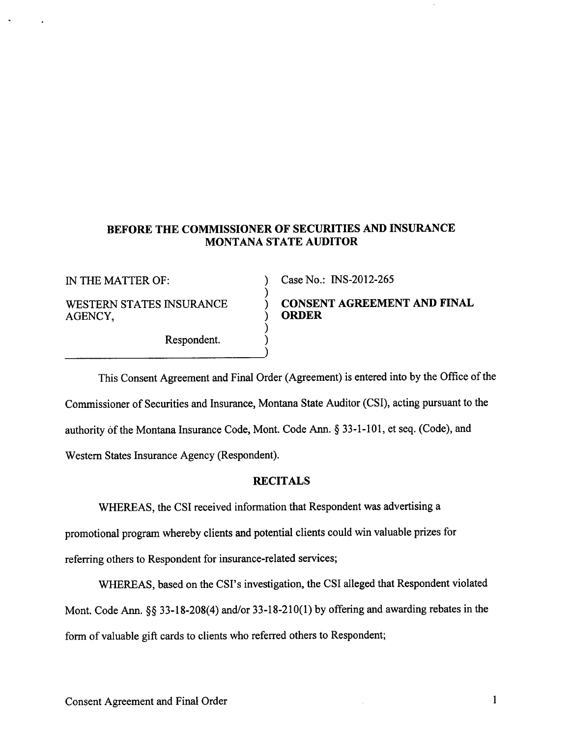# BEFORE THE COMMISSIONER OF SECURITIES AND INSURANCE MONTANA STATE AUDITOR

)

)

)

AGENCY,

Respondent. )

IN THE MATTER OF:  $\qquad \qquad$  ) Case No.: INS-2012-265

WESTERN STATES INSURANCE  $\overrightarrow{O}$  CONSENT AGREEMENT AND FINAL AGENCY

This Consent Agreement and Final Order (Agreement) is entered into by the Office of the Commissioner of Securities and Insurance, Montana State Auditor (CSD, acting pursuant to the authority of the Montana Insurance Code, Mont. Code Ann. \$ 33-1-101, et seq. (Code), and Western States Insurance Agency (Respondent).

### RECITALS

WHEREAS, the CSI received information that Respondent was advertising a

promotional program whereby clients and potential clients could win valuable prizes for referring others to Respondent for insurance-related services;

WHEREAS, based on the CSI's investigation, the CSI alleged that Respondent violated Mont. Code Ann. §§ 33-18-208(4) and/or 33-18-210(1) by offering and awarding rebates in the form of valuable gift cards to clients who referred others to Respondent;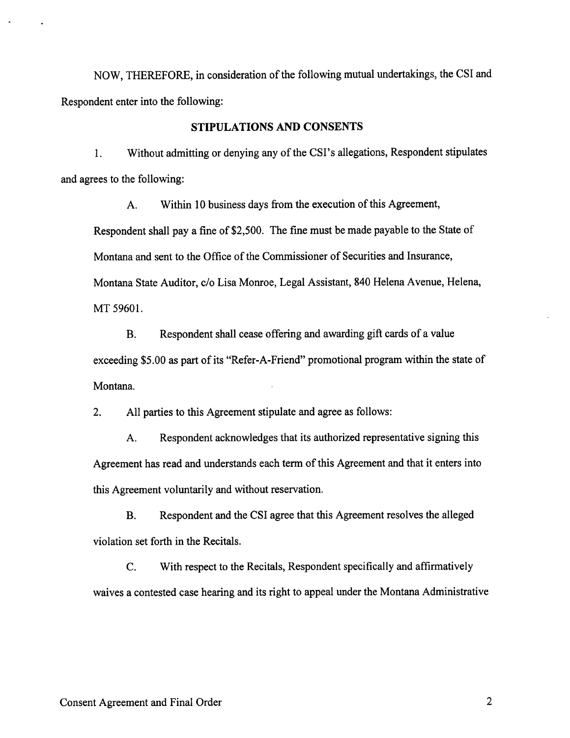NOW, THEREFORE, in consideration of the following mutual undertakings, the CSI and Respondent enter into the following:

#### STIPULATIONS AND CONSENTS

1. Without admitting or denying any of the CSI's allegations, Respondent stipulates and agrees to the following:

A. Within l0 business days from the execution of this Agreement,

Respondent shall pay a fine of \$2,500. The fine must be made payable to the State of Montana and sent to the Office of the Commissioner of Securities and Insurance, Montana State Auditor, c/o Lisa Monroe, Legal Assistant, 840 Helena Avenue, Helena, MT 59601.

B. Respondent shall cease offering and awarding gift cards of a value exceeding \$5.00 as part of its "Refer-A-Friend" promotional program within the state of Montana.

2. All parties to this Agreement stipulate and agree as follows:

A. Respondent acknowledges that its authorized representative signing this Agreement has read and understands each term of this Agreement and that it enters into this Agreement voluntarily and without reservation.

B. Respondent and the CSI agree that this Agreement resolves the alleged violation set forth in the Recitals.

C. With respect to the Recitals, Respondent specifically and affirmatively waives a contested case hearing and its right to appeal under the Montana Administrative

 $\overline{2}$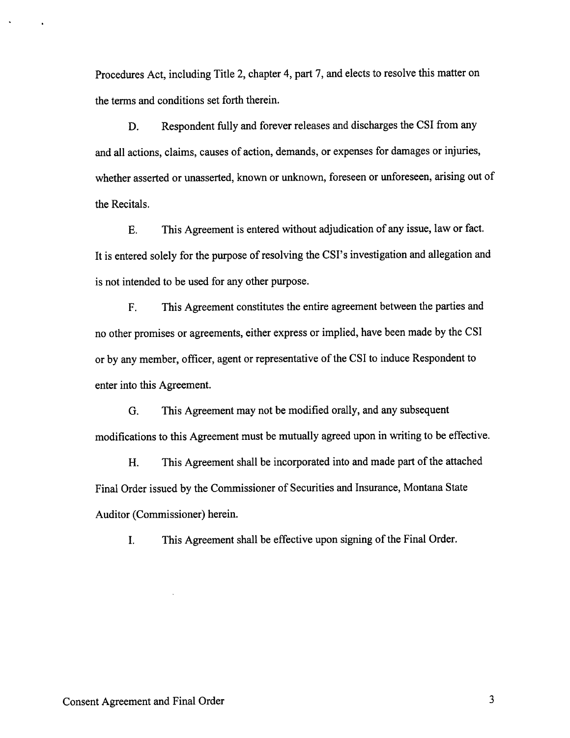Procedures Act, including Title 2, chapter 4, part 7, and elects to resolve this matter on the terms and conditions set forth therein.

D. Respondent fully and forever releases and discharges the CSI from any and all actions, claims, causes of action, demands, or expenses for damages or injuries, whether asserted or unasserted, known or unknown, foreseen or unforeseen, arising out of the Recitals.

E. This Agreement is entered without adjudication of any issue, law or fact. It is entered solely for the purpose of resolving the CSI's investigation and allegation and is not intended to be used for any other purpose.

F. This Agreement constitutes the entire agreement between the parties and no other promises or agreements, either express or implied, have been made by the CSI or by any member, offrcer, agent or representative of the CSI to induce Respondent to enter into this Agreement.

G. This Agreement may not be modified orally, and any subsequent modifications to this Agreement must be mutually agreed upon in writing to be effective.

H. This Agreement shall be incorporated into and made part of the attached Final Order issued by the Commissioner of Securities and Insurance, Montana State Auditor (Commissioner) herein.

I. This Agreement shall be effective upon signing of the Final Order.

3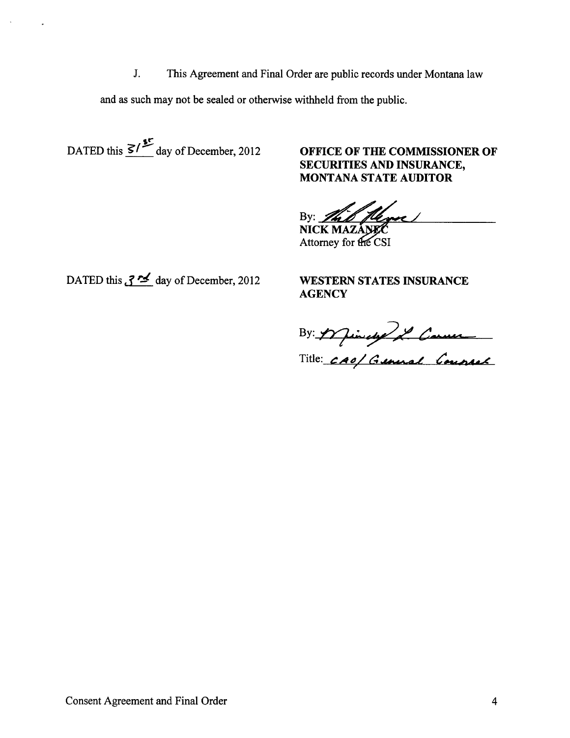This Agreement and Final Order are public records under Montana law J.

and as such may not be sealed or otherwise withheld from the public.

DATED this  $\frac{S}{\sqrt{S}}$  day of December, 2012

OFFICE OF THE COMMISSIONER OF SECURITIES AND INSURANCE, **MONTANA STATE AUDITOR** 

flere ! By: The NICK MAZANEC

Attorney for the CSI

DATED this  $\sqrt{2}$  day of December, 2012

**WESTERN STATES INSURANCE AGENCY** 

By: 1 finale 2 Comme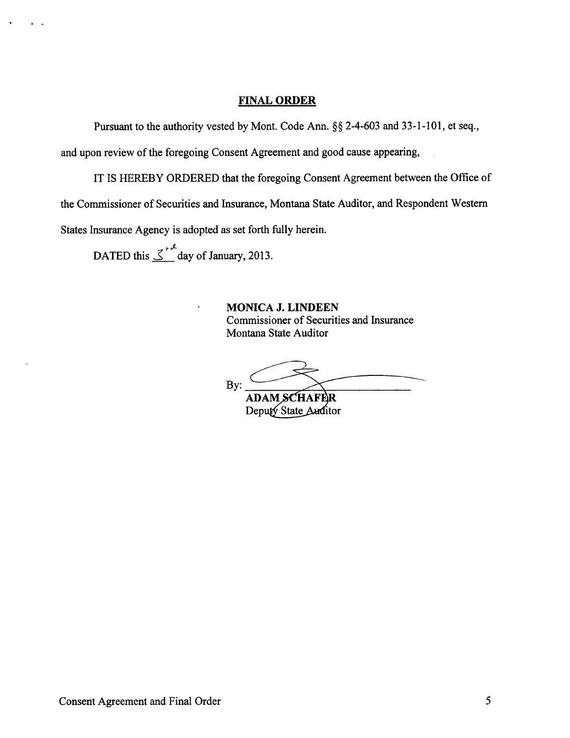### FINAL ORDER

Pursuant to the authority vested by Mont. Code Ann. \$\$ 2-4-603 and 33-l-101, et seq.,

and upon review of the foregoing Consent Agreement and good cause appearing,

IT IS HEREBY ORDERED that the foregoing Consent Agreement between the Office of

the Commissioner of Securities and Insurance, Montana State Auditor, and Respondent Western

States Insurance Agency is adopted as set forth fully herein.

DATED this  $\leq \int_{0}^{x}$  day of January, 2013.

MONICA J. LINDEEN Commissioner of Securities and Insurance Montana State Auditor

By:

AD Deputy State Auditor